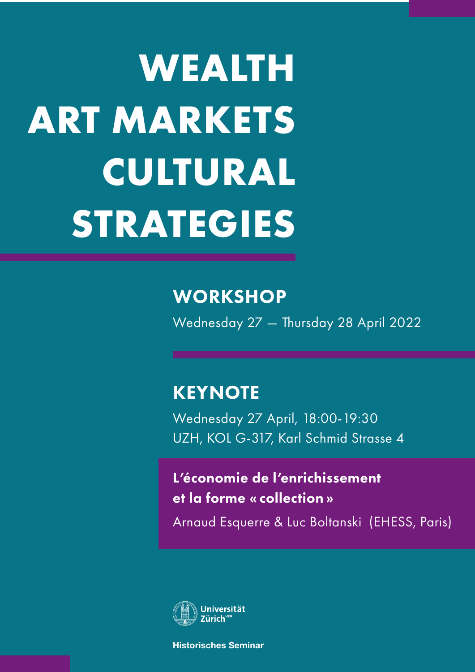# **WEALTH ART MARKETS CULTURAL STRATEGIES**

## **WORKSHOP**

Wednesday 27 — Thursday 28 April 2022

# **KEYNOTE**

Wednesday 27 April, 18:00-19:30 UZH, KOL G-317, Karl Schmid Strasse 4

L'économie de l'enrichissement et la forme « collection »

Arnaud Esquerre & Luc Boltanski (EHESS, Paris)



**Historisches Seminar**